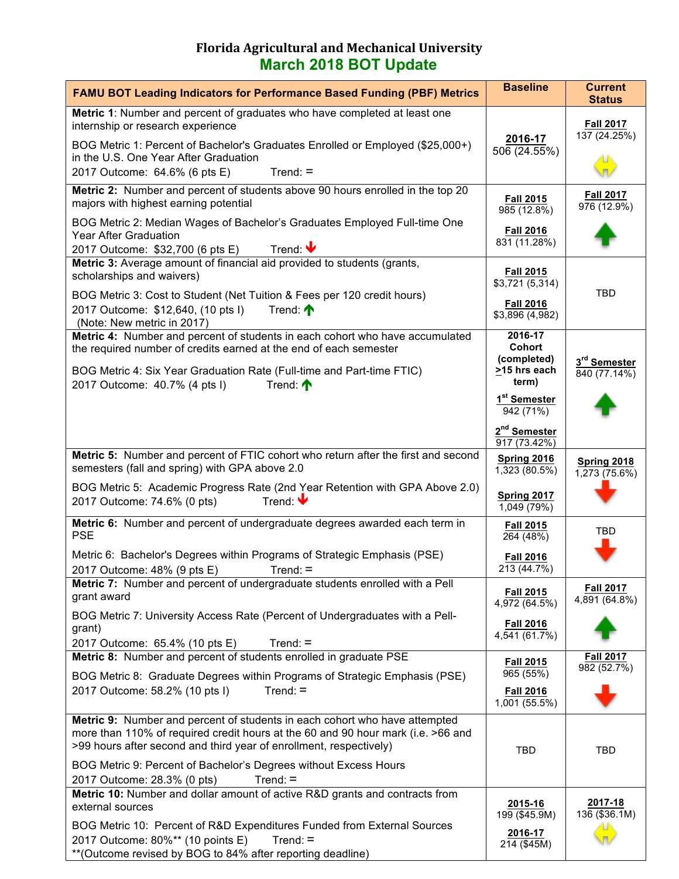## **Florida Agricultural and Mechanical University March 2018 BOT Update**

| <b>FAMU BOT Leading Indicators for Performance Based Funding (PBF) Metrics</b>                                                                                                                                                       | <b>Baseline</b>                          | <b>Current</b><br><b>Status</b>   |
|--------------------------------------------------------------------------------------------------------------------------------------------------------------------------------------------------------------------------------------|------------------------------------------|-----------------------------------|
| Metric 1: Number and percent of graduates who have completed at least one<br>internship or research experience                                                                                                                       |                                          | <b>Fall 2017</b>                  |
| BOG Metric 1: Percent of Bachelor's Graduates Enrolled or Employed (\$25,000+)<br>in the U.S. One Year After Graduation                                                                                                              | 2016-17<br>506(24.55%)                   | 137 (24.25%)                      |
| 2017 Outcome: 64.6% (6 pts E)<br>$Trend: =$                                                                                                                                                                                          |                                          |                                   |
| Metric 2: Number and percent of students above 90 hours enrolled in the top 20<br>majors with highest earning potential                                                                                                              | <b>Fall 2015</b><br>985(12.8%)           | <b>Fall 2017</b><br>976 (12.9%)   |
| BOG Metric 2: Median Wages of Bachelor's Graduates Employed Full-time One<br><b>Year After Graduation</b><br>Trend: $\blacktriangledown$<br>2017 Outcome: \$32,700 (6 pts E)                                                         | <b>Fall 2016</b><br>831 (11.28%)         |                                   |
| Metric 3: Average amount of financial aid provided to students (grants,<br>scholarships and waivers)                                                                                                                                 | <b>Fall 2015</b><br>\$3,721(5,314)       |                                   |
| BOG Metric 3: Cost to Student (Net Tuition & Fees per 120 credit hours)<br>2017 Outcome: \$12,640, (10 pts I)<br>Trend: $\bigwedge$<br>(Note: New metric in 2017)                                                                    | <b>Fall 2016</b><br>\$3,896 (4,982)      | TBD                               |
| Metric 4: Number and percent of students in each cohort who have accumulated<br>the required number of credits earned at the end of each semester                                                                                    | 2016-17<br><b>Cohort</b><br>(completed)  |                                   |
| BOG Metric 4: Six Year Graduation Rate (Full-time and Part-time FTIC)<br>2017 Outcome: 40.7% (4 pts I)<br>Trend: $\bigwedge$                                                                                                         | >15 hrs each<br>term)                    | 3rd Semester<br>840 (77.14%)      |
|                                                                                                                                                                                                                                      | 1 <sup>st</sup> Semester<br>942 (71%)    |                                   |
|                                                                                                                                                                                                                                      | 2 <sup>nd</sup> Semester<br>917 (73.42%) |                                   |
| Metric 5: Number and percent of FTIC cohort who return after the first and second<br>semesters (fall and spring) with GPA above 2.0                                                                                                  | Spring 2016<br>1,323 (80.5%)             | Spring 2018<br>1,273 (75.6%)      |
| BOG Metric 5: Academic Progress Rate (2nd Year Retention with GPA Above 2.0)<br>Trend: $\blacktriangleright$<br>2017 Outcome: 74.6% (0 pts)                                                                                          | Spring 2017<br>1,049 (79%)               |                                   |
| Metric 6: Number and percent of undergraduate degrees awarded each term in<br><b>PSE</b>                                                                                                                                             | <b>Fall 2015</b><br>264 (48%)            | TBD                               |
| Metric 6: Bachelor's Degrees within Programs of Strategic Emphasis (PSE)<br>2017 Outcome: 48% (9 pts E)<br>$Trend: =$                                                                                                                | <b>Fall 2016</b><br>213 (44.7%)          |                                   |
| Metric 7: Number and percent of undergraduate students enrolled with a Pell<br>grant award                                                                                                                                           | <b>Fall 2015</b><br>4,972 (64.5%)        | <b>Fall 2017</b><br>4,891 (64.8%) |
| BOG Metric 7: University Access Rate (Percent of Undergraduates with a Pell-<br>grant)                                                                                                                                               | <b>Fall 2016</b><br>4,541 (61.7%)        |                                   |
| 2017 Outcome: 65.4% (10 pts E)<br>$Trend: =$<br>Metric 8: Number and percent of students enrolled in graduate PSE                                                                                                                    | <b>Fall 2015</b>                         | <b>Fall 2017</b>                  |
| BOG Metric 8: Graduate Degrees within Programs of Strategic Emphasis (PSE)                                                                                                                                                           | 965 (55%)                                | 982 (52.7%)                       |
| 2017 Outcome: 58.2% (10 pts I)<br>$Trend: =$                                                                                                                                                                                         | <b>Fall 2016</b><br>1,001 (55.5%)        |                                   |
| Metric 9: Number and percent of students in each cohort who have attempted<br>more than 110% of required credit hours at the 60 and 90 hour mark (i.e. >66 and<br>>99 hours after second and third year of enrollment, respectively) | TBD                                      | TBD                               |
| BOG Metric 9: Percent of Bachelor's Degrees without Excess Hours<br>$Trend: =$<br>2017 Outcome: 28.3% (0 pts)                                                                                                                        |                                          |                                   |
| Metric 10: Number and dollar amount of active R&D grants and contracts from<br>external sources                                                                                                                                      | 2015-16                                  | 2017-18                           |
| BOG Metric 10: Percent of R&D Expenditures Funded from External Sources<br>2017 Outcome: 80%** (10 points E)<br>$Trend: =$<br>** (Outcome revised by BOG to 84% after reporting deadline)                                            | 199 (\$45.9M)<br>2016-17<br>214 (\$45M)  | 136 (\$36.1M)                     |